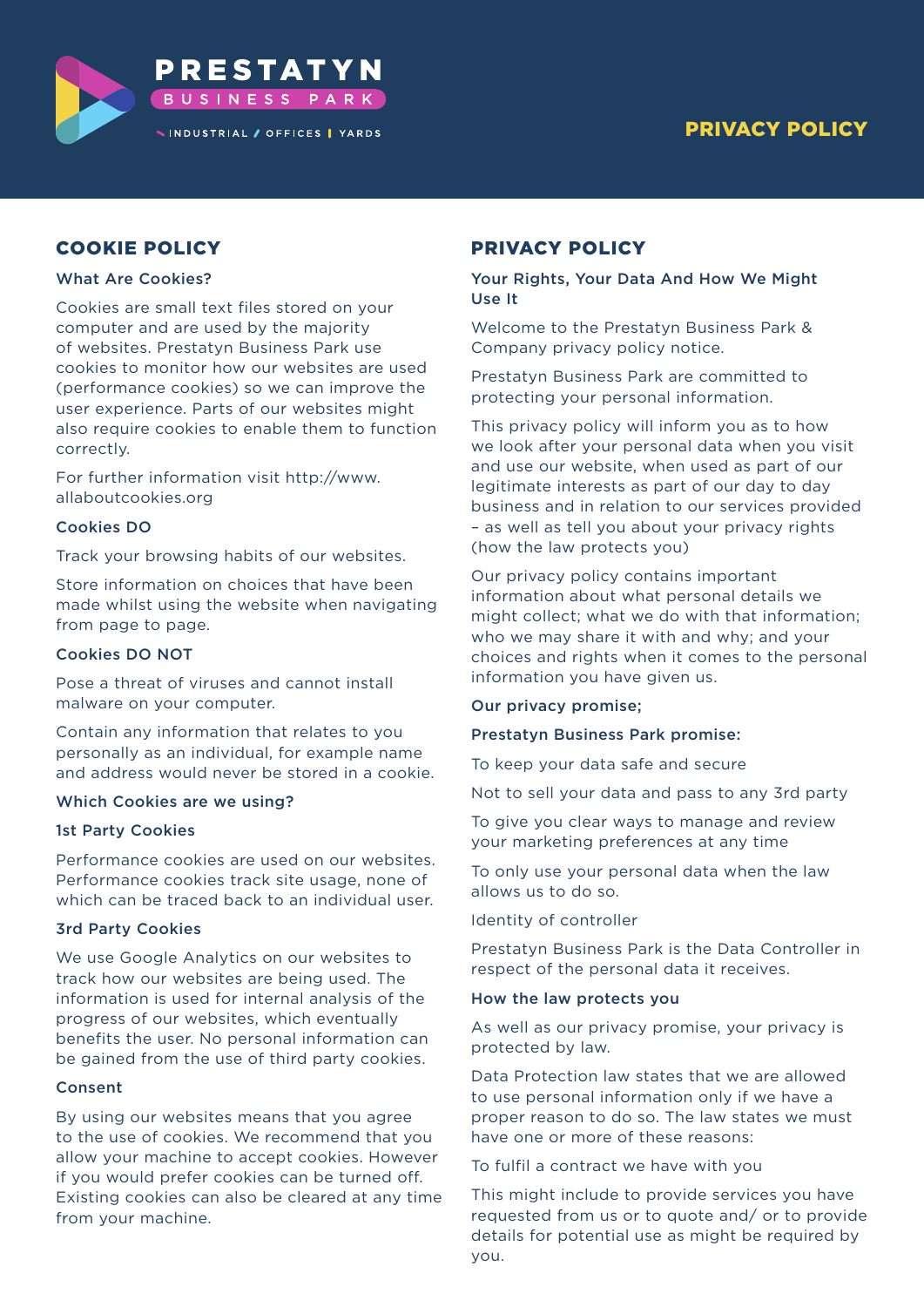# PRIVACY POLICY



# COOKIE POLICY

### What Are Cookies?

Cookies are small text files stored on your computer and are used by the majority of websites. Prestatyn Business Park use cookies to monitor how our websites are used (performance cookies) so we can improve the user experience. Parts of our websites might also require cookies to enable them to function correctly.

For further information visit http://www. allaboutcookies.org

### Cookies DO

Track your browsing habits of our websites.

Store information on choices that have been made whilst using the website when navigating from page to page.

### Cookies DO NOT

Pose a threat of viruses and cannot install malware on your computer.

Contain any information that relates to you personally as an individual, for example name and address would never be stored in a cookie.

### Which Cookies are we using?

### 1st Party Cookies

Performance cookies are used on our websites. Performance cookies track site usage, none of which can be traced back to an individual user.

### 3rd Party Cookies

We use Google Analytics on our websites to track how our websites are being used. The information is used for internal analysis of the progress of our websites, which eventually benefits the user. No personal information can be gained from the use of third party cookies.

### Consent

By using our websites means that you agree to the use of cookies. We recommend that you allow your machine to accept cookies. However if you would prefer cookies can be turned off. Existing cookies can also be cleared at any time from your machine.

## PRIVACY POLICY

Your Rights, Your Data And How We Might Use It

Welcome to the Prestatyn Business Park & Company privacy policy notice.

Prestatyn Business Park are committed to protecting your personal information.

This privacy policy will inform you as to how we look after your personal data when you visit and use our website, when used as part of our legitimate interests as part of our day to day business and in relation to our services provided – as well as tell you about your privacy rights (how the law protects you)

Our privacy policy contains important information about what personal details we might collect; what we do with that information; who we may share it with and why; and your choices and rights when it comes to the personal information you have given us.

#### Our privacy promise;

### Prestatyn Business Park promise:

To keep your data safe and secure

Not to sell your data and pass to any 3rd party

To give you clear ways to manage and review your marketing preferences at any time

To only use your personal data when the law allows us to do so.

Identity of controller

Prestatyn Business Park is the Data Controller in respect of the personal data it receives.

### How the law protects you

As well as our privacy promise, your privacy is protected by law.

Data Protection law states that we are allowed to use personal information only if we have a proper reason to do so. The law states we must have one or more of these reasons:

To fulfil a contract we have with you

This might include to provide services you have requested from us or to quote and/ or to provide details for potential use as might be required by you.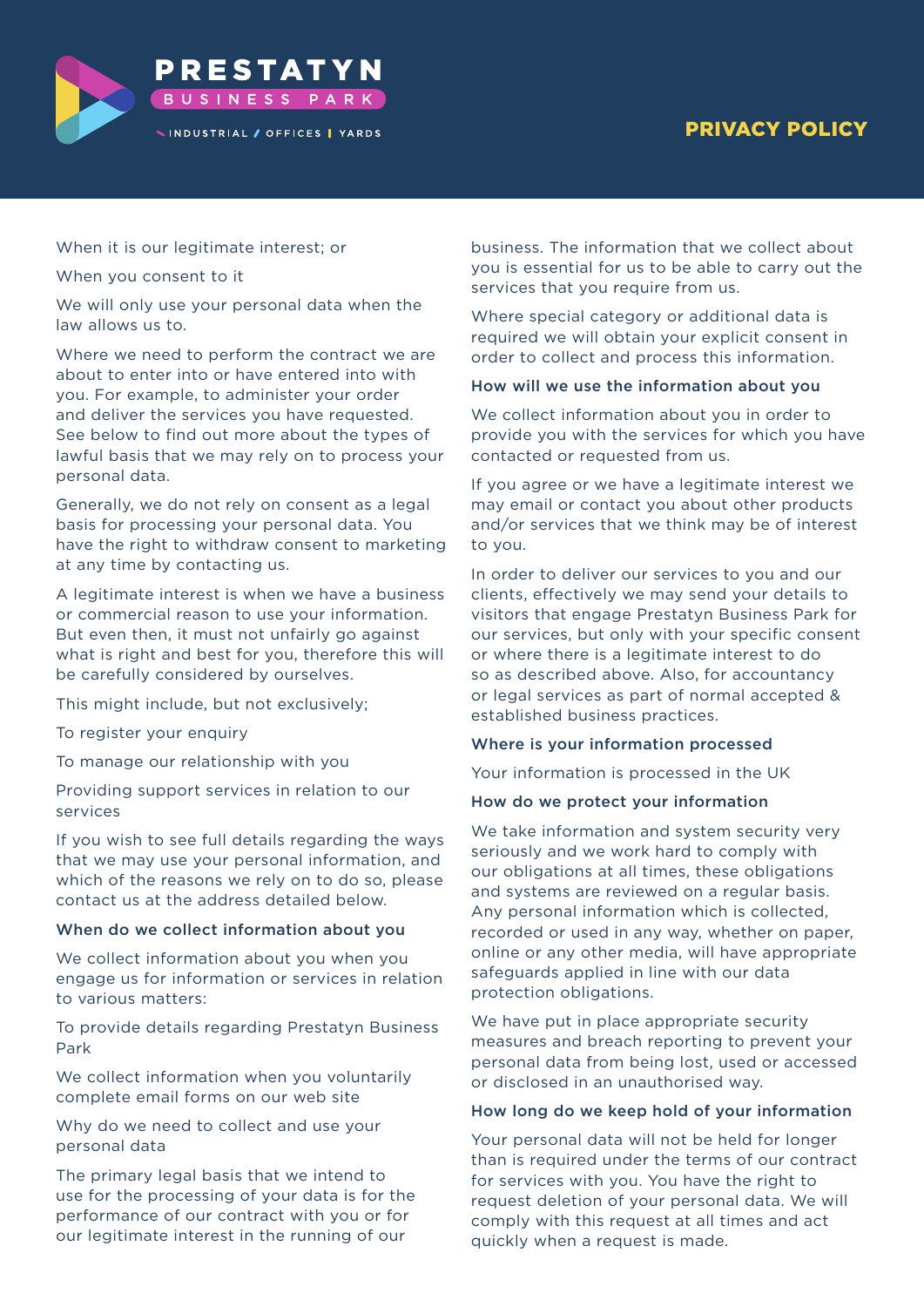# PRIVACY POLICY



### When it is our legitimate interest; or

### When you consent to it

We will only use your personal data when the law allows us to.

Where we need to perform the contract we are about to enter into or have entered into with you. For example, to administer your order and deliver the services you have requested. See below to find out more about the types of lawful basis that we may rely on to process your personal data.

Generally, we do not rely on consent as a legal basis for processing your personal data. You have the right to withdraw consent to marketing at any time by contacting us.

A legitimate interest is when we have a business or commercial reason to use your information. But even then, it must not unfairly go against what is right and best for you, therefore this will be carefully considered by ourselves.

This might include, but not exclusively;

To register your enquiry

To manage our relationship with you

Providing support services in relation to our services

If you wish to see full details regarding the ways that we may use your personal information, and which of the reasons we rely on to do so, please contact us at the address detailed below.

### When do we collect information about you

We collect information about you when you engage us for information or services in relation to various matters:

To provide details regarding Prestatyn Business Park

We collect information when you voluntarily complete email forms on our web site

Why do we need to collect and use your personal data

The primary legal basis that we intend to use for the processing of your data is for the performance of our contract with you or for our legitimate interest in the running of our

business. The information that we collect about you is essential for us to be able to carry out the services that you require from us.

Where special category or additional data is required we will obtain your explicit consent in order to collect and process this information.

#### How will we use the information about you

We collect information about you in order to provide you with the services for which you have contacted or requested from us.

If you agree or we have a legitimate interest we may email or contact you about other products and/or services that we think may be of interest to you.

In order to deliver our services to you and our clients, effectively we may send your details to visitors that engage Prestatyn Business Park for our services, but only with your specific consent or where there is a legitimate interest to do so as described above. Also, for accountancy or legal services as part of normal accepted & established business practices.

### Where is your information processed

Your information is processed in the UK

### How do we protect your information

We take information and system security very seriously and we work hard to comply with our obligations at all times, these obligations and systems are reviewed on a regular basis. Any personal information which is collected, recorded or used in any way, whether on paper, online or any other media, will have appropriate safeguards applied in line with our data protection obligations.

We have put in place appropriate security measures and breach reporting to prevent your personal data from being lost, used or accessed or disclosed in an unauthorised way.

#### How long do we keep hold of your information

Your personal data will not be held for longer than is required under the terms of our contract for services with you. You have the right to request deletion of your personal data. We will comply with this request at all times and act quickly when a request is made.